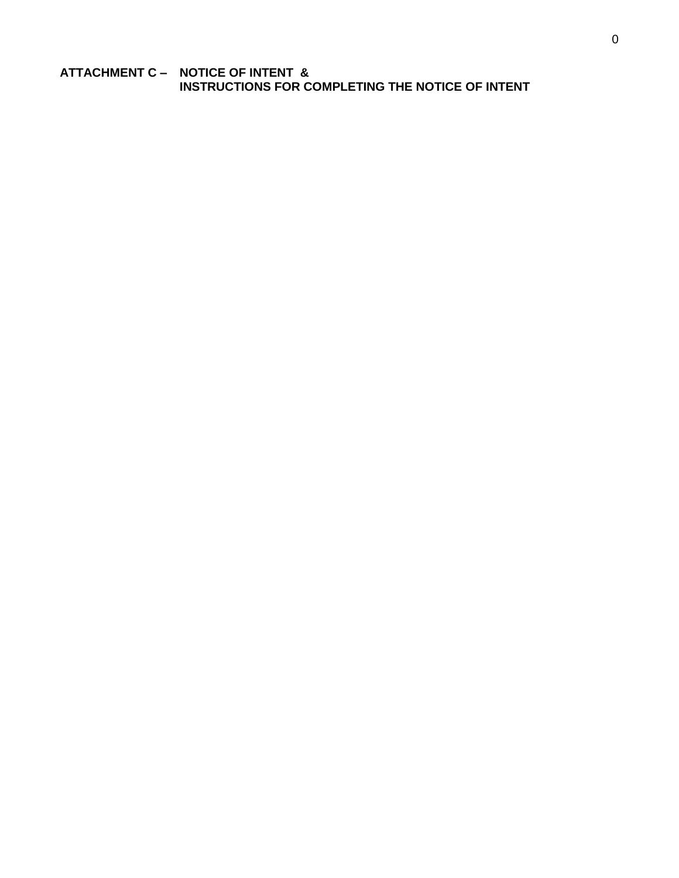**ATTACHMENT C – NOTICE OF INTENT & C.INSTRUCTIONS FOR COMPLETING THE NOTICE OF INTENT**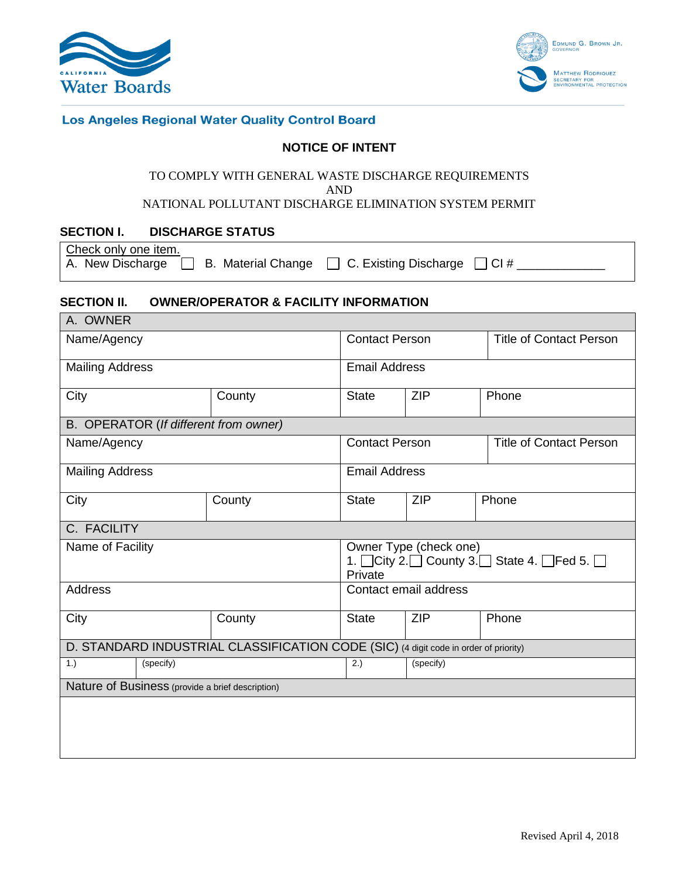



#### Los Angeles Regional Water Quality Control Board

#### **NOTICE OF INTENT**

#### TO COMPLY WITH GENERAL WASTE DISCHARGE REQUIREMENTS AND

NATIONAL POLLUTANT DISCHARGE ELIMINATION SYSTEM PERMIT

#### **SECTION I. DISCHARGE STATUS**

| Check only one item. |  |                                                                                     |  |
|----------------------|--|-------------------------------------------------------------------------------------|--|
|                      |  | A. New Discharge $\Box$ B. Material Change $\Box$ C. Existing Discharge $\Box$ Cl # |  |

#### **SECTION II. OWNER/OPERATOR & FACILITY INFORMATION**

| A. OWNER                                                                             |                       |                                                                                                              |                                |       |  |  |  |
|--------------------------------------------------------------------------------------|-----------------------|--------------------------------------------------------------------------------------------------------------|--------------------------------|-------|--|--|--|
| Name/Agency                                                                          | <b>Contact Person</b> |                                                                                                              | <b>Title of Contact Person</b> |       |  |  |  |
| <b>Mailing Address</b>                                                               | <b>Email Address</b>  |                                                                                                              |                                |       |  |  |  |
| City                                                                                 | County                | <b>State</b>                                                                                                 | <b>ZIP</b>                     | Phone |  |  |  |
| B. OPERATOR (If different from owner)                                                |                       |                                                                                                              |                                |       |  |  |  |
| Name/Agency                                                                          | <b>Contact Person</b> |                                                                                                              | <b>Title of Contact Person</b> |       |  |  |  |
| <b>Mailing Address</b>                                                               |                       |                                                                                                              | <b>Email Address</b>           |       |  |  |  |
| City                                                                                 | County                | <b>State</b>                                                                                                 | <b>ZIP</b>                     | Phone |  |  |  |
| C. FACILITY                                                                          |                       |                                                                                                              |                                |       |  |  |  |
| Name of Facility                                                                     |                       | Owner Type (check one)<br>1. $\Box$ City 2. $\Box$ County 3. $\Box$ State 4. $\Box$ Fed 5. $\Box$<br>Private |                                |       |  |  |  |
| Address                                                                              |                       | Contact email address                                                                                        |                                |       |  |  |  |
| City                                                                                 | County                | <b>State</b>                                                                                                 | <b>ZIP</b>                     | Phone |  |  |  |
| D. STANDARD INDUSTRIAL CLASSIFICATION CODE (SIC) (4 digit code in order of priority) |                       |                                                                                                              |                                |       |  |  |  |
| (specify)<br>1.)                                                                     | 2.)                   | (specify)                                                                                                    |                                |       |  |  |  |
| Nature of Business (provide a brief description)                                     |                       |                                                                                                              |                                |       |  |  |  |
|                                                                                      |                       |                                                                                                              |                                |       |  |  |  |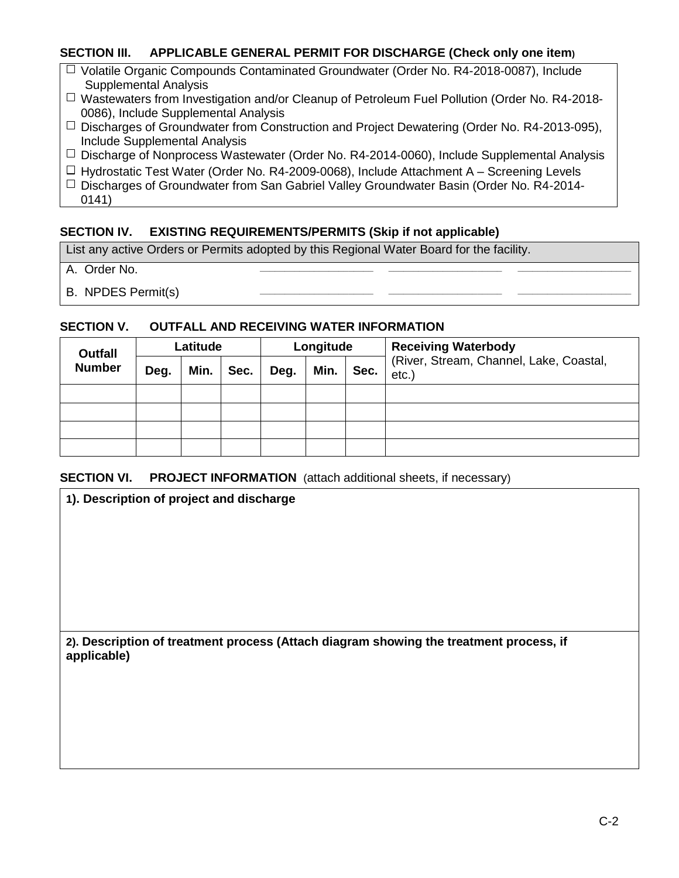# **SECTION III. APPLICABLE GENERAL PERMIT FOR DISCHARGE (Check only one item)**

- $\Box$  Volatile Organic Compounds Contaminated Groundwater (Order No. R4-2018-0087), Include Supplemental Analysis
- □ Wastewaters from Investigation and/or Cleanup of Petroleum Fuel Pollution (Order No. R4-2018-0086), Include Supplemental Analysis
- $\Box$  Discharges of Groundwater from Construction and Project Dewatering (Order No. R4-2013-095), Include Supplemental Analysis
- $\Box$  Discharge of Nonprocess Wastewater (Order No. R4-2014-0060), Include Supplemental Analysis
- $\Box$  Hydrostatic Test Water (Order No. R4-2009-0068), Include Attachment A Screening Levels  $\Box$  Discharges of Groundwater from San Gabriel Valley Groundwater Basin (Order No. R4-2014-
	- 0141)

# **SECTION IV. EXISTING REQUIREMENTS/PERMITS (Skip if not applicable)**

List any active Orders or Permits adopted by this Regional Water Board for the facility.

- A. Order No. **\_\_\_\_\_\_\_\_\_\_\_\_\_\_\_\_\_\_\_\_\_\_\_ \_\_\_\_\_\_\_\_\_\_\_\_\_\_\_\_\_\_\_\_\_\_\_ \_\_\_\_\_\_\_\_\_\_\_\_\_\_\_\_\_\_\_\_\_\_\_**
- **B. NPDES Permit(s)**

# **SECTION V. OUTFALL AND RECEIVING WATER INFORMATION**

| <b>Outfall</b> |                                      | Latitude |      |                                                 | Longitude |  | <b>Receiving Waterbody</b> |
|----------------|--------------------------------------|----------|------|-------------------------------------------------|-----------|--|----------------------------|
| <b>Number</b>  | Min.<br>Min.<br>Sec.<br>Deg.<br>Deg. |          | Sec. | (River, Stream, Channel, Lake, Coastal,<br>etc. |           |  |                            |
|                |                                      |          |      |                                                 |           |  |                            |
|                |                                      |          |      |                                                 |           |  |                            |
|                |                                      |          |      |                                                 |           |  |                            |
|                |                                      |          |      |                                                 |           |  |                            |

# **SECTION VI.** PROJECT INFORMATION (attach additional sheets, if necessary)

**1). Description of project and discharge**

**2). Description of treatment process (Attach diagram showing the treatment process, if applicable)**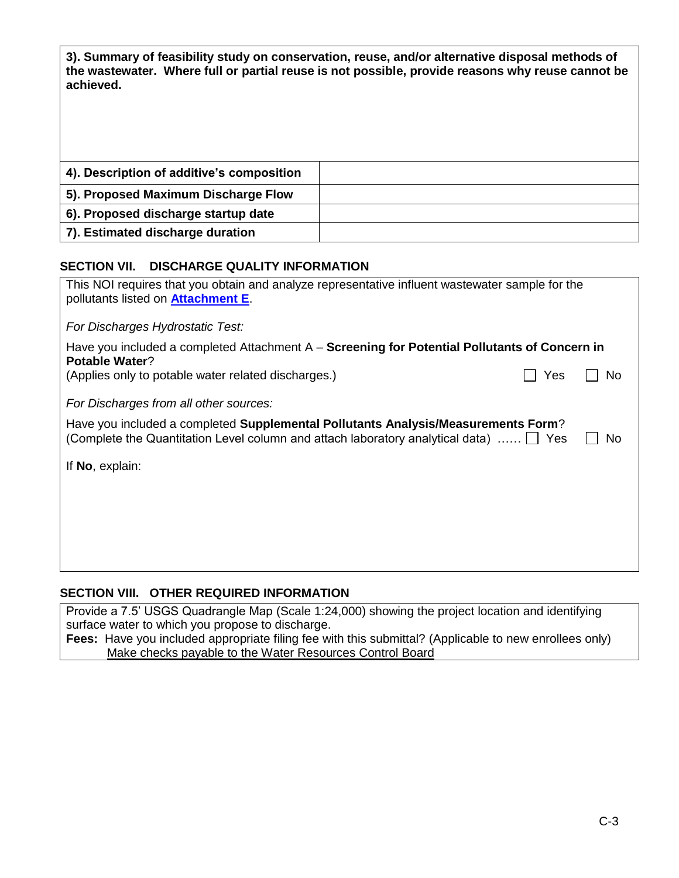**3). Summary of feasibility study on conservation, reuse, and/or alternative disposal methods of the wastewater. Where full or partial reuse is not possible, provide reasons why reuse cannot be achieved.**

| 4). Description of additive's composition |  |
|-------------------------------------------|--|
| 5). Proposed Maximum Discharge Flow       |  |
| 6). Proposed discharge startup date       |  |
| 7). Estimated discharge duration          |  |

# **SECTION VII. DISCHARGE QUALITY INFORMATION**

| This NOI requires that you obtain and analyze representative influent wastewater sample for the<br>pollutants listed on <b>Attachment E</b> .                                           |     |     |  |  |  |
|-----------------------------------------------------------------------------------------------------------------------------------------------------------------------------------------|-----|-----|--|--|--|
| For Discharges Hydrostatic Test:                                                                                                                                                        |     |     |  |  |  |
| Have you included a completed Attachment $A -$ Screening for Potential Pollutants of Concern in<br><b>Potable Water?</b>                                                                |     |     |  |  |  |
| (Applies only to potable water related discharges.)                                                                                                                                     | Yes | No. |  |  |  |
| For Discharges from all other sources:                                                                                                                                                  |     |     |  |  |  |
| Have you included a completed Supplemental Pollutants Analysis/Measurements Form?<br>(Complete the Quantitation Level column and attach laboratory analytical data) $\ldots$ $\Box$ Yes |     | No  |  |  |  |
| If No, explain:                                                                                                                                                                         |     |     |  |  |  |
|                                                                                                                                                                                         |     |     |  |  |  |
|                                                                                                                                                                                         |     |     |  |  |  |
|                                                                                                                                                                                         |     |     |  |  |  |
|                                                                                                                                                                                         |     |     |  |  |  |

# **SECTION VIII. OTHER REQUIRED INFORMATION**

Provide a 7.5' USGS Quadrangle Map (Scale 1:24,000) showing the project location and identifying surface water to which you propose to discharge.

**Fees:** Have you included appropriate filing fee with this submittal? (Applicable to new enrollees only) Make checks payable to the Water Resources Control Board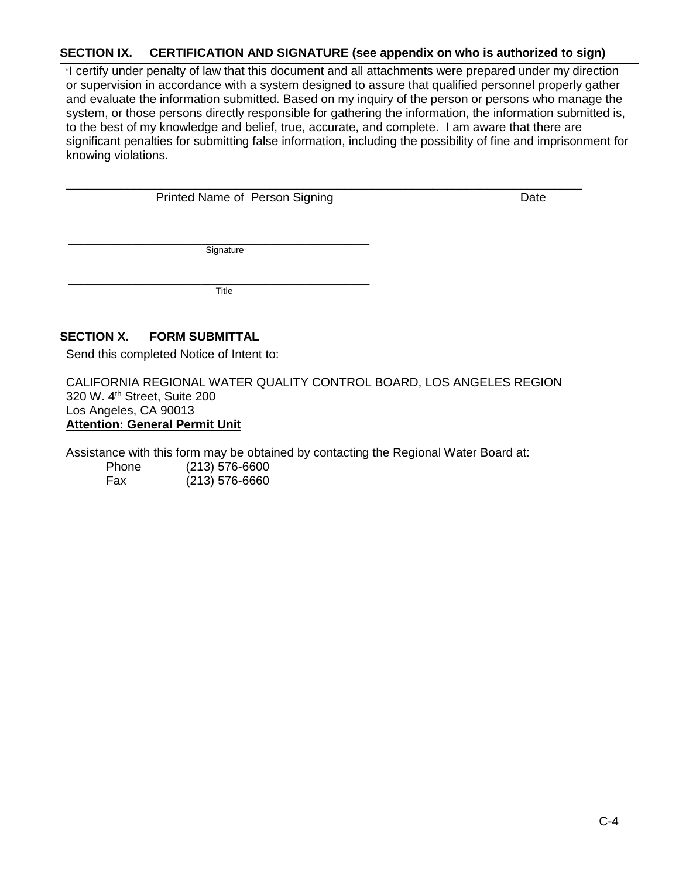# **SECTION IX. CERTIFICATION AND SIGNATURE (see appendix on who is authorized to sign)**

"I certify under penalty of law that this document and all attachments were prepared under my direction or supervision in accordance with a system designed to assure that qualified personnel properly gather and evaluate the information submitted. Based on my inquiry of the person or persons who manage the system, or those persons directly responsible for gathering the information, the information submitted is, to the best of my knowledge and belief, true, accurate, and complete. I am aware that there are significant penalties for submitting false information, including the possibility of fine and imprisonment for knowing violations.

 $\overline{\phantom{a}}$ 

| Printed Name of Person Signing |  |
|--------------------------------|--|

**Date** \_\_\_\_\_\_\_\_\_\_\_\_\_\_\_\_\_\_\_\_\_\_\_\_\_\_\_\_\_\_\_\_\_

Signature \_\_\_\_\_\_\_\_\_\_\_\_\_\_\_\_\_\_\_\_\_\_\_\_\_\_\_\_\_\_\_\_\_\_\_\_\_\_\_\_\_\_\_\_\_\_\_\_\_\_\_\_\_\_\_\_\_\_\_\_\_

Title \_\_\_\_\_\_\_\_\_\_\_\_\_\_\_\_\_\_\_\_\_\_\_\_\_\_\_\_\_\_\_\_\_\_\_\_\_\_\_\_\_\_\_\_\_\_\_\_\_\_\_\_\_\_\_\_\_\_\_\_\_

# **SECTION X. FORM SUBMITTAL**

Send this completed Notice of Intent to:

CALIFORNIA REGIONAL WATER QUALITY CONTROL BOARD, LOS ANGELES REGION 320 W. 4<sup>th</sup> Street, Suite 200 Los Angeles, CA 90013 **Attention: General Permit Unit**

Assistance with this form may be obtained by contacting the Regional Water Board at: Phone (213) 576-6600 Fax (213) 576-6660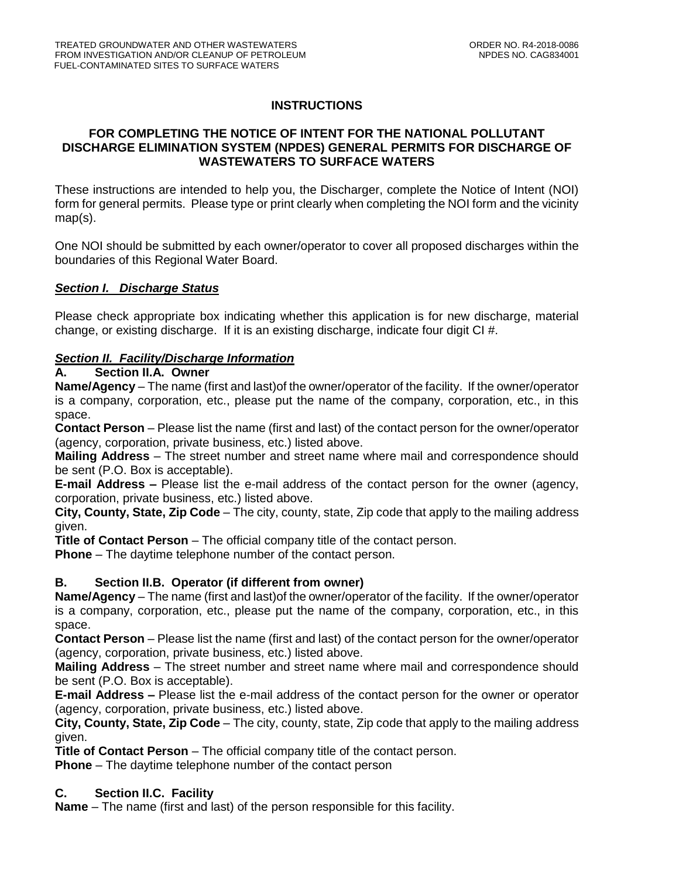# **INSTRUCTIONS**

# **FOR COMPLETING THE NOTICE OF INTENT FOR THE NATIONAL POLLUTANT DISCHARGE ELIMINATION SYSTEM (NPDES) GENERAL PERMITS FOR DISCHARGE OF WASTEWATERS TO SURFACE WATERS**

These instructions are intended to help you, the Discharger, complete the Notice of Intent (NOI) form for general permits. Please type or print clearly when completing the NOI form and the vicinity map(s).

One NOI should be submitted by each owner/operator to cover all proposed discharges within the boundaries of this Regional Water Board.

# *Section I. Discharge Status*

Please check appropriate box indicating whether this application is for new discharge, material change, or existing discharge. If it is an existing discharge, indicate four digit CI #.

# *Section II. Facility/Discharge Information*

# **A. Section II.A. Owner**

**Name/Agency** – The name (first and last)of the owner/operator of the facility. If the owner/operator is a company, corporation, etc., please put the name of the company, corporation, etc., in this space.

**Contact Person** – Please list the name (first and last) of the contact person for the owner/operator (agency, corporation, private business, etc.) listed above.

**Mailing Address** – The street number and street name where mail and correspondence should be sent (P.O. Box is acceptable).

**E-mail Address –** Please list the e-mail address of the contact person for the owner (agency, corporation, private business, etc.) listed above.

**City, County, State, Zip Code** – The city, county, state, Zip code that apply to the mailing address given.

**Title of Contact Person** – The official company title of the contact person.

**Phone** – The daytime telephone number of the contact person.

# **B. Section II.B. Operator (if different from owner)**

**Name/Agency** – The name (first and last)of the owner/operator of the facility. If the owner/operator is a company, corporation, etc., please put the name of the company, corporation, etc., in this space.

**Contact Person** – Please list the name (first and last) of the contact person for the owner/operator (agency, corporation, private business, etc.) listed above.

**Mailing Address** – The street number and street name where mail and correspondence should be sent (P.O. Box is acceptable).

**E-mail Address –** Please list the e-mail address of the contact person for the owner or operator (agency, corporation, private business, etc.) listed above.

**City, County, State, Zip Code** – The city, county, state, Zip code that apply to the mailing address given.

**Title of Contact Person** – The official company title of the contact person.

**Phone** – The daytime telephone number of the contact person

# **C. Section II.C. Facility**

**Name** – The name (first and last) of the person responsible for this facility.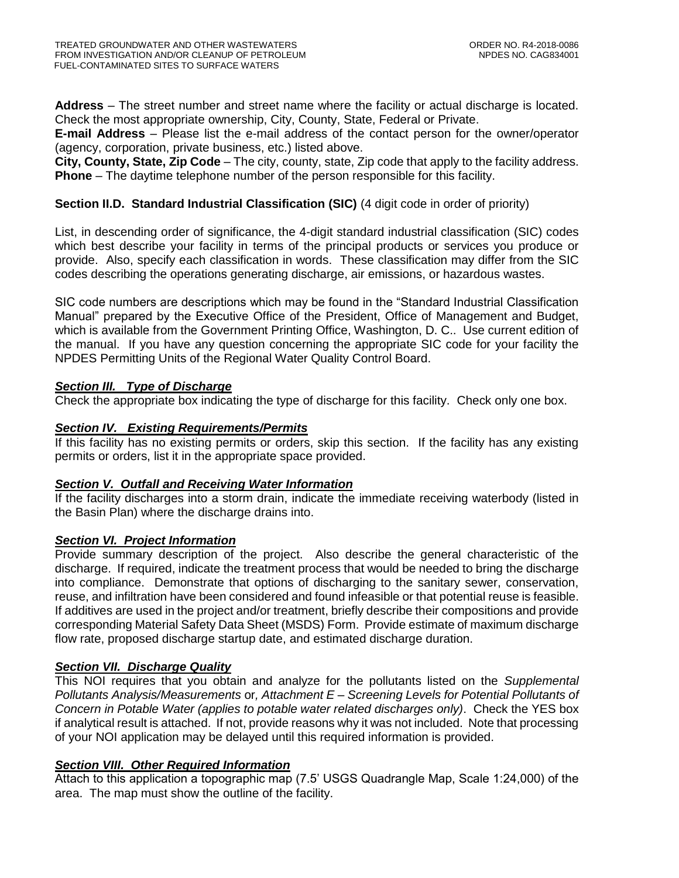**Address** – The street number and street name where the facility or actual discharge is located. Check the most appropriate ownership, City, County, State, Federal or Private.

**E-mail Address** – Please list the e-mail address of the contact person for the owner/operator (agency, corporation, private business, etc.) listed above.

**City, County, State, Zip Code** – The city, county, state, Zip code that apply to the facility address. **Phone** – The daytime telephone number of the person responsible for this facility.

# **Section II.D. Standard Industrial Classification (SIC)** (4 digit code in order of priority)

List, in descending order of significance, the 4-digit standard industrial classification (SIC) codes which best describe your facility in terms of the principal products or services you produce or provide. Also, specify each classification in words. These classification may differ from the SIC codes describing the operations generating discharge, air emissions, or hazardous wastes.

SIC code numbers are descriptions which may be found in the "Standard Industrial Classification Manual" prepared by the Executive Office of the President, Office of Management and Budget, which is available from the Government Printing Office, Washington, D. C.. Use current edition of the manual. If you have any question concerning the appropriate SIC code for your facility the NPDES Permitting Units of the Regional Water Quality Control Board.

# *Section III. Type of Discharge*

Check the appropriate box indicating the type of discharge for this facility. Check only one box.

# *Section IV. Existing Requirements/Permits*

If this facility has no existing permits or orders, skip this section. If the facility has any existing permits or orders, list it in the appropriate space provided.

# *Section V. Outfall and Receiving Water Information*

If the facility discharges into a storm drain, indicate the immediate receiving waterbody (listed in the Basin Plan) where the discharge drains into.

# *Section VI. Project Information*

Provide summary description of the project. Also describe the general characteristic of the discharge. If required, indicate the treatment process that would be needed to bring the discharge into compliance. Demonstrate that options of discharging to the sanitary sewer, conservation, reuse, and infiltration have been considered and found infeasible or that potential reuse is feasible. If additives are used in the project and/or treatment, briefly describe their compositions and provide corresponding Material Safety Data Sheet (MSDS) Form. Provide estimate of maximum discharge flow rate, proposed discharge startup date, and estimated discharge duration.

# *Section VII. Discharge Quality*

This NOI requires that you obtain and analyze for the pollutants listed on the *Supplemental Pollutants Analysis/Measurements* or*, Attachment E – Screening Levels for Potential Pollutants of Concern in Potable Water (applies to potable water related discharges only)*. Check the YES box if analytical result is attached. If not, provide reasons why it was not included. Note that processing of your NOI application may be delayed until this required information is provided.

# *Section VIII. Other Required Information*

Attach to this application a topographic map (7.5' USGS Quadrangle Map, Scale 1:24,000) of the area. The map must show the outline of the facility.